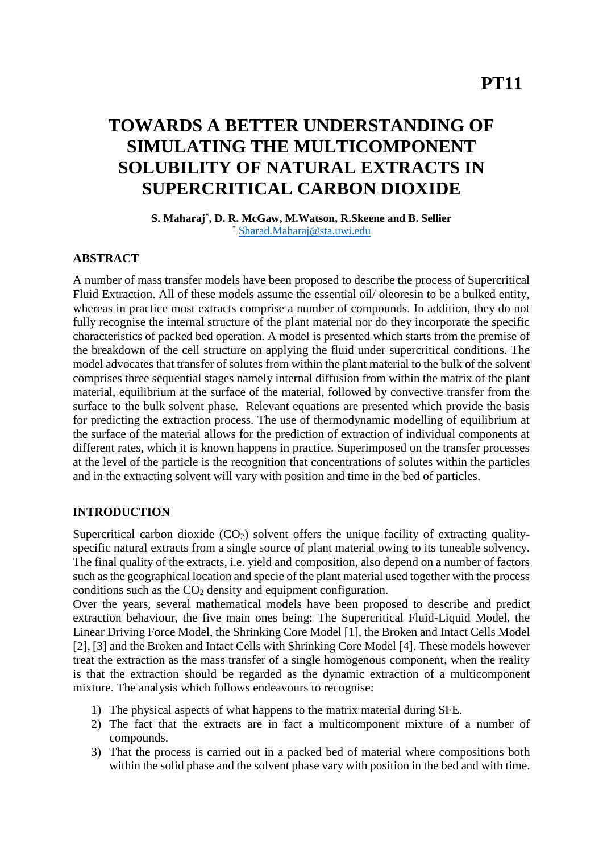# **TOWARDS A BETTER UNDERSTANDING OF SIMULATING THE MULTICOMPONENT SOLUBILITY OF NATURAL EXTRACTS IN SUPERCRITICAL CARBON DIOXIDE**

**S. Maharaj\* , D. R. McGaw, M.Watson, R.Skeene and B. Sellier** \* [Sharad.Maharaj@sta.uwi.edu](mailto:Sharad.Maharaj@sta.uwi.edu)

# **ABSTRACT**

A number of mass transfer models have been proposed to describe the process of Supercritical Fluid Extraction. All of these models assume the essential oil/ oleoresin to be a bulked entity, whereas in practice most extracts comprise a number of compounds. In addition, they do not fully recognise the internal structure of the plant material nor do they incorporate the specific characteristics of packed bed operation. A model is presented which starts from the premise of the breakdown of the cell structure on applying the fluid under supercritical conditions. The model advocates that transfer of solutes from within the plant material to the bulk of the solvent comprises three sequential stages namely internal diffusion from within the matrix of the plant material, equilibrium at the surface of the material, followed by convective transfer from the surface to the bulk solvent phase. Relevant equations are presented which provide the basis for predicting the extraction process. The use of thermodynamic modelling of equilibrium at the surface of the material allows for the prediction of extraction of individual components at different rates, which it is known happens in practice. Superimposed on the transfer processes at the level of the particle is the recognition that concentrations of solutes within the particles and in the extracting solvent will vary with position and time in the bed of particles.

## **INTRODUCTION**

Supercritical carbon dioxide  $(CO_2)$  solvent offers the unique facility of extracting qualityspecific natural extracts from a single source of plant material owing to its tuneable solvency. The final quality of the extracts, i.e. yield and composition, also depend on a number of factors such as the geographical location and specie of the plant material used together with the process conditions such as the  $CO<sub>2</sub>$  density and equipment configuration.

Over the years, several mathematical models have been proposed to describe and predict extraction behaviour, the five main ones being: The Supercritical Fluid-Liquid Model, the Linear Driving Force Model, the Shrinking Core Model [1], the Broken and Intact Cells Model [2], [3] and the Broken and Intact Cells with Shrinking Core Model [4]. These models however treat the extraction as the mass transfer of a single homogenous component, when the reality is that the extraction should be regarded as the dynamic extraction of a multicomponent mixture. The analysis which follows endeavours to recognise:

- 1) The physical aspects of what happens to the matrix material during SFE.
- 2) The fact that the extracts are in fact a multicomponent mixture of a number of compounds.
- 3) That the process is carried out in a packed bed of material where compositions both within the solid phase and the solvent phase vary with position in the bed and with time.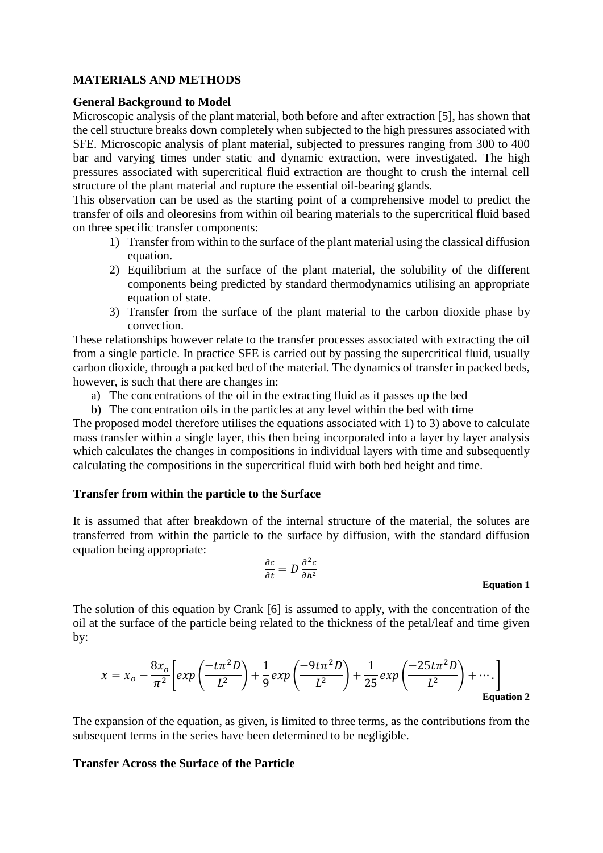## **MATERIALS AND METHODS**

### **General Background to Model**

Microscopic analysis of the plant material, both before and after extraction [5], has shown that the cell structure breaks down completely when subjected to the high pressures associated with SFE. Microscopic analysis of plant material, subjected to pressures ranging from 300 to 400 bar and varying times under static and dynamic extraction, were investigated. The high pressures associated with supercritical fluid extraction are thought to crush the internal cell structure of the plant material and rupture the essential oil-bearing glands.

This observation can be used as the starting point of a comprehensive model to predict the transfer of oils and oleoresins from within oil bearing materials to the supercritical fluid based on three specific transfer components:

- 1) Transfer from within to the surface of the plant material using the classical diffusion equation.
- 2) Equilibrium at the surface of the plant material, the solubility of the different components being predicted by standard thermodynamics utilising an appropriate equation of state.
- 3) Transfer from the surface of the plant material to the carbon dioxide phase by convection.

These relationships however relate to the transfer processes associated with extracting the oil from a single particle. In practice SFE is carried out by passing the supercritical fluid, usually carbon dioxide, through a packed bed of the material. The dynamics of transfer in packed beds, however, is such that there are changes in:

a) The concentrations of the oil in the extracting fluid as it passes up the bed

b) The concentration oils in the particles at any level within the bed with time

The proposed model therefore utilises the equations associated with 1) to 3) above to calculate mass transfer within a single layer, this then being incorporated into a layer by layer analysis which calculates the changes in compositions in individual layers with time and subsequently calculating the compositions in the supercritical fluid with both bed height and time.

## **Transfer from within the particle to the Surface**

It is assumed that after breakdown of the internal structure of the material, the solutes are transferred from within the particle to the surface by diffusion, with the standard diffusion equation being appropriate:

$$
\frac{\partial c}{\partial t} = D \frac{\partial^2 c}{\partial h^2}
$$

**Equation 1**

The solution of this equation by Crank [6] is assumed to apply, with the concentration of the oil at the surface of the particle being related to the thickness of the petal/leaf and time given by:

$$
x = x_o - \frac{8x_o}{\pi^2} \left[ exp\left(\frac{-t\pi^2 D}{L^2}\right) + \frac{1}{9} exp\left(\frac{-9t\pi^2 D}{L^2}\right) + \frac{1}{25} exp\left(\frac{-25t\pi^2 D}{L^2}\right) + \cdots \right]
$$
  
Equation 2

The expansion of the equation, as given, is limited to three terms, as the contributions from the subsequent terms in the series have been determined to be negligible.

### **Transfer Across the Surface of the Particle**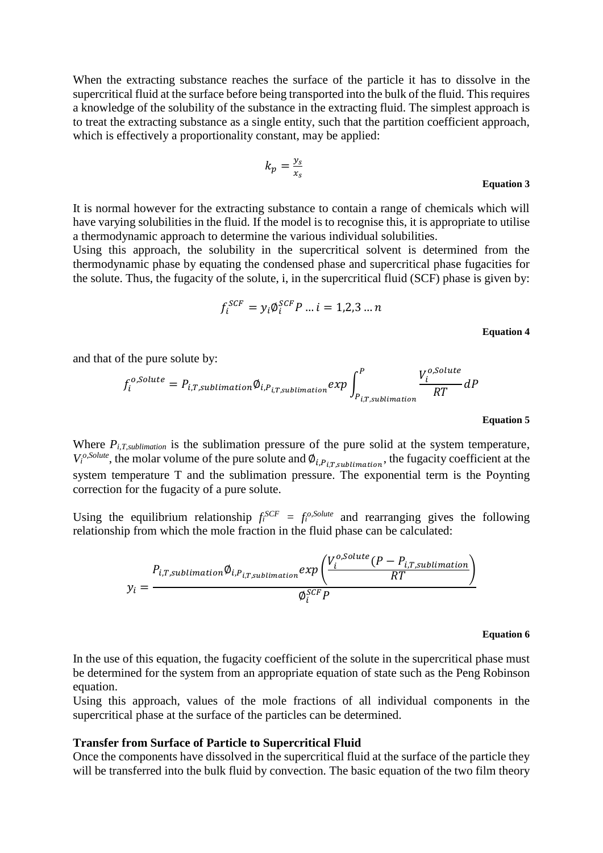When the extracting substance reaches the surface of the particle it has to dissolve in the supercritical fluid at the surface before being transported into the bulk of the fluid. This requires a knowledge of the solubility of the substance in the extracting fluid. The simplest approach is to treat the extracting substance as a single entity, such that the partition coefficient approach, which is effectively a proportionality constant, may be applied:

$$
k_p = \frac{y_s}{x_s}
$$
 Equation 3

It is normal however for the extracting substance to contain a range of chemicals which will have varying solubilities in the fluid. If the model is to recognise this, it is appropriate to utilise a thermodynamic approach to determine the various individual solubilities.

Using this approach, the solubility in the supercritical solvent is determined from the thermodynamic phase by equating the condensed phase and supercritical phase fugacities for the solute. Thus, the fugacity of the solute, i, in the supercritical fluid (SCF) phase is given by:

$$
f_i^{SCF} = y_i \phi_i^{SCF} P \dots i = 1,2,3 \dots n
$$

**Equation 4**

 $\alpha$ , Colaita

and that of the pure solute by:

$$
f_i^{o,Solute} = P_{i,T,sublimation} \phi_{i,P_{i,T,sublimation}} exp \int_{P_{i,T,sublimation}}^{P} \frac{V_i^{o,Solute}}{RT} dP
$$

#### **Equation 5**

Where  $P_{i,T,sublimation}$  is the sublimation pressure of the pure solid at the system temperature,  $V_i^{o,Solute}$ , the molar volume of the pure solute and  $\varnothing_{i,P_{i,T,sublimation}}$ , the fugacity coefficient at the system temperature T and the sublimation pressure. The exponential term is the Poynting correction for the fugacity of a pure solute.

Using the equilibrium relationship  $f_i^{SCF} = f_i^{o,Solute}$  and rearranging gives the following relationship from which the mole fraction in the fluid phase can be calculated:

$$
y_i = \frac{P_{i,T,sublimation} \phi_{i,P_{i,T,sublimation}} exp\left(\frac{V_i^{o,Solute}(P - P_{i,T,sublimation})}{RT}\right)}{\phi_i^{SCF} P}
$$

#### **Equation 6**

In the use of this equation, the fugacity coefficient of the solute in the supercritical phase must be determined for the system from an appropriate equation of state such as the Peng Robinson equation.

Using this approach, values of the mole fractions of all individual components in the supercritical phase at the surface of the particles can be determined.

#### **Transfer from Surface of Particle to Supercritical Fluid**

Once the components have dissolved in the supercritical fluid at the surface of the particle they will be transferred into the bulk fluid by convection. The basic equation of the two film theory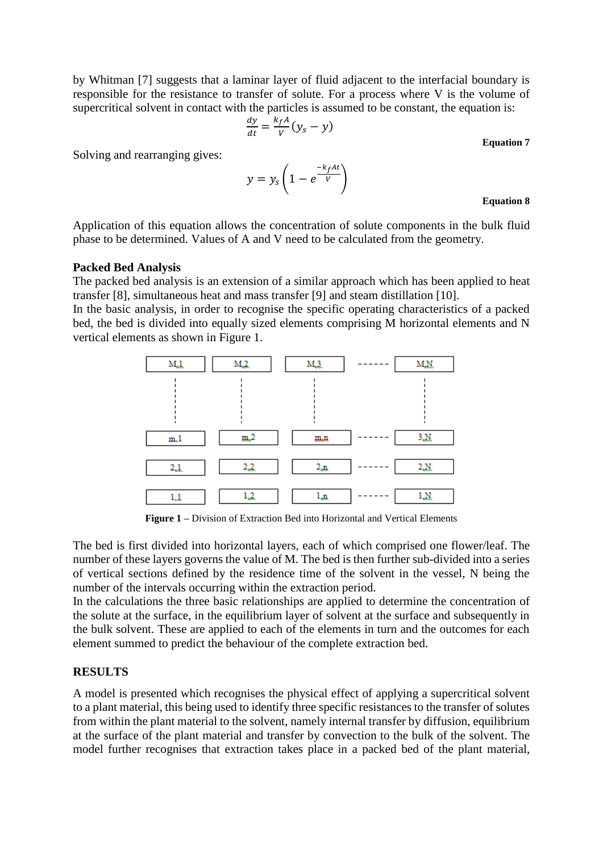by Whitman [7] suggests that a laminar layer of fluid adjacent to the interfacial boundary is responsible for the resistance to transfer of solute. For a process where V is the volume of supercritical solvent in contact with the particles is assumed to be constant, the equation is:

$$
\frac{dy}{dt} = \frac{k_f A}{V} (y_s - y)
$$

**Equation 7**

Solving and rearranging gives:

 $y = y_s (1 - e)$  $-k_f$ At  $\overline{V}$ 

### **Equation 8**

Application of this equation allows the concentration of solute components in the bulk fluid phase to be determined. Values of A and V need to be calculated from the geometry.

### **Packed Bed Analysis**

The packed bed analysis is an extension of a similar approach which has been applied to heat transfer [8], simultaneous heat and mass transfer [9] and steam distillation [10].

In the basic analysis, in order to recognise the specific operating characteristics of a packed bed, the bed is divided into equally sized elements comprising M horizontal elements and N vertical elements as shown in Figure 1.



**Figure 1 –** Division of Extraction Bed into Horizontal and Vertical Elements

The bed is first divided into horizontal layers, each of which comprised one flower/leaf. The number of these layers governs the value of M. The bed is then further sub-divided into a series of vertical sections defined by the residence time of the solvent in the vessel, N being the number of the intervals occurring within the extraction period.

In the calculations the three basic relationships are applied to determine the concentration of the solute at the surface, in the equilibrium layer of solvent at the surface and subsequently in the bulk solvent. These are applied to each of the elements in turn and the outcomes for each element summed to predict the behaviour of the complete extraction bed.

## **RESULTS**

A model is presented which recognises the physical effect of applying a supercritical solvent to a plant material, this being used to identify three specific resistances to the transfer of solutes from within the plant material to the solvent, namely internal transfer by diffusion, equilibrium at the surface of the plant material and transfer by convection to the bulk of the solvent. The model further recognises that extraction takes place in a packed bed of the plant material,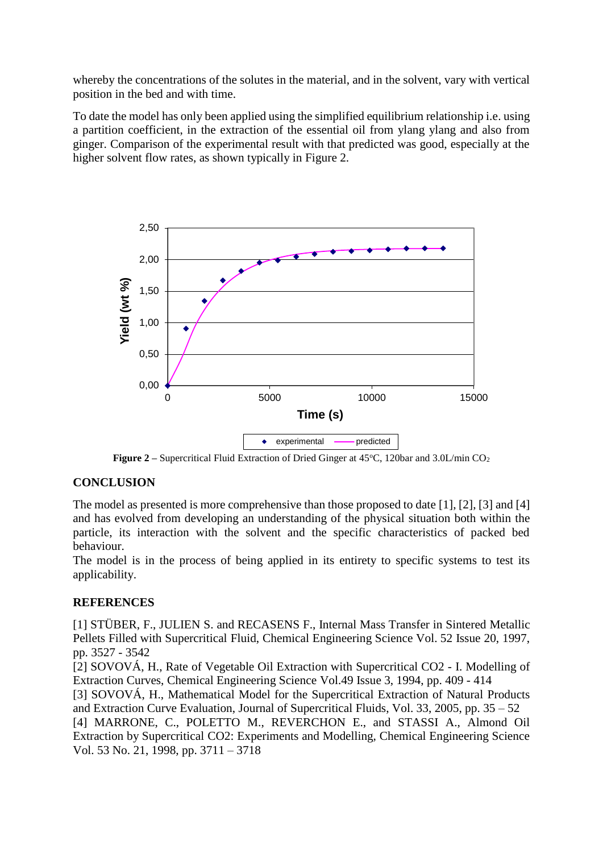whereby the concentrations of the solutes in the material, and in the solvent, vary with vertical position in the bed and with time.

To date the model has only been applied using the simplified equilibrium relationship i.e. using a partition coefficient, in the extraction of the essential oil from ylang ylang and also from ginger. Comparison of the experimental result with that predicted was good, especially at the higher solvent flow rates, as shown typically in Figure 2.



**Figure 2** – Supercritical Fluid Extraction of Dried Ginger at 45°C, 120bar and 3.0L/min CO<sub>2</sub>

# **CONCLUSION**

The model as presented is more comprehensive than those proposed to date [1], [2], [3] and [4] and has evolved from developing an understanding of the physical situation both within the particle, its interaction with the solvent and the specific characteristics of packed bed behaviour.

The model is in the process of being applied in its entirety to specific systems to test its applicability.

# **REFERENCES**

[1] STÜBER, F., JULIEN S. and RECASENS F., Internal Mass Transfer in Sintered Metallic Pellets Filled with Supercritical Fluid, Chemical Engineering Science Vol. 52 Issue 20, 1997, pp. 3527 - 3542

[2] SOVOVÁ, H., Rate of Vegetable Oil Extraction with Supercritical CO2 - I. Modelling of Extraction Curves, Chemical Engineering Science Vol.49 Issue 3, 1994, pp. 409 - 414

[3] SOVOVÁ, H., Mathematical Model for the Supercritical Extraction of Natural Products and Extraction Curve Evaluation, Journal of Supercritical Fluids, Vol. 33, 2005, pp. 35 – 52

[4] MARRONE, C., POLETTO M., REVERCHON E., and STASSI A., Almond Oil Extraction by Supercritical CO2: Experiments and Modelling, Chemical Engineering Science Vol. 53 No. 21, 1998, pp. 3711 – 3718